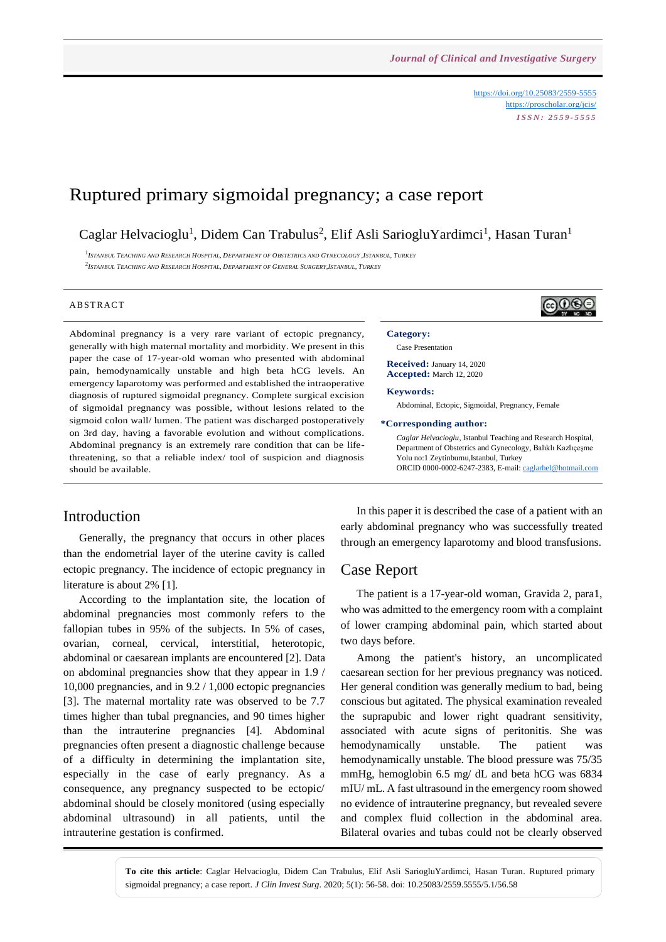<https://doi.org/10.25083/2559-5555> <https://proscholar.org/jcis/> *I S S N : 2 5 5 9 - 5 5 5 5*

# Ruptured primary sigmoidal pregnancy; a case report

Caglar Helvacioglu<sup>1</sup>, Didem Can Trabulus<sup>2</sup>, Elif Asli SariogluYardimci<sup>1</sup>, Hasan Turan<sup>1</sup>

 $^1$ Istanbul Teaching and Research Hospital, Department of Obstetrics and Gynecology ,Istanbul, Turkey <sup>2</sup>Istanbul Teaching and Research Hospital, Department of General Surgery,Istanbul, Turkey

### **ABSTRACT**

Abdominal pregnancy is a very rare variant of ectopic pregnancy, generally with high maternal mortality and morbidity. We present in this paper the case of 17-year-old woman who presented with abdominal pain, hemodynamically unstable and high beta hCG levels. An emergency laparotomy was performed and established the intraoperative diagnosis of ruptured sigmoidal pregnancy. Complete surgical excision of sigmoidal pregnancy was possible, without lesions related to the sigmoid colon wall/ lumen. The patient was discharged postoperatively on 3rd day, having a favorable evolution and without complications. Abdominal pregnancy is an extremely rare condition that can be lifethreatening, so that a reliable index/ tool of suspicion and diagnosis should be available.

## Introduction

Generally, the pregnancy that occurs in other places than the endometrial layer of the uterine cavity is called ectopic pregnancy. The incidence of ectopic pregnancy in literature is about 2% [1].

According to the implantation site, the location of abdominal pregnancies most commonly refers to the fallopian tubes in 95% of the subjects. In 5% of cases, ovarian, corneal, cervical, interstitial, heterotopic, abdominal or caesarean implants are encountered [2]. Data on abdominal pregnancies show that they appear in 1.9 / 10,000 pregnancies, and in 9.2 / 1,000 ectopic pregnancies [3]. The maternal mortality rate was observed to be 7.7 times higher than tubal pregnancies, and 90 times higher than the intrauterine pregnancies [4]. Abdominal pregnancies often present a diagnostic challenge because of a difficulty in determining the implantation site, especially in the case of early pregnancy. As a consequence, any pregnancy suspected to be ectopic/ abdominal should be closely monitored (using especially abdominal ultrasound) in all patients, until the intrauterine gestation is confirmed.

In this paper it is described the case of a patient with an early abdominal pregnancy who was successfully treated through an emergency laparotomy and blood transfusions.

### Case Report

The patient is a 17-year-old woman, Gravida 2, para1, who was admitted to the emergency room with a complaint of lower cramping abdominal pain, which started about two days before.

Among the patient's history, an uncomplicated caesarean section for her previous pregnancy was noticed. Her general condition was generally medium to bad, being conscious but agitated. The physical examination revealed the suprapubic and lower right quadrant sensitivity, associated with acute signs of peritonitis. She was hemodynamically unstable. The patient was hemodynamically unstable. The blood pressure was 75/35 mmHg, hemoglobin 6.5 mg/ dL and beta hCG was 6834 mIU/ mL. A fast ultrasound in the emergency room showed no evidence of intrauterine pregnancy, but revealed severe and complex fluid collection in the abdominal area. Bilateral ovaries and tubas could not be clearly observed

# ெ⊛

**Category:**  Case Presentation **Received:** January 14, 2020 **Accepted:** March 12, 2020

**Keywords:** 

Abdominal, Ectopic, Sigmoidal, Pregnancy, Female

#### **\*Corresponding author:**

*Caglar Helvacioglu*, Istanbul Teaching and Research Hospital, Department of Obstetrics and Gynecology, Balıklı Kazlıçeşme Yolu no:1 Zeytinburnu,Istanbul, Turkey ORCID 0000-0002-6247-2383, E-mail[: caglarhel@hotmail.com](mailto:caglarhel@hotmail.com)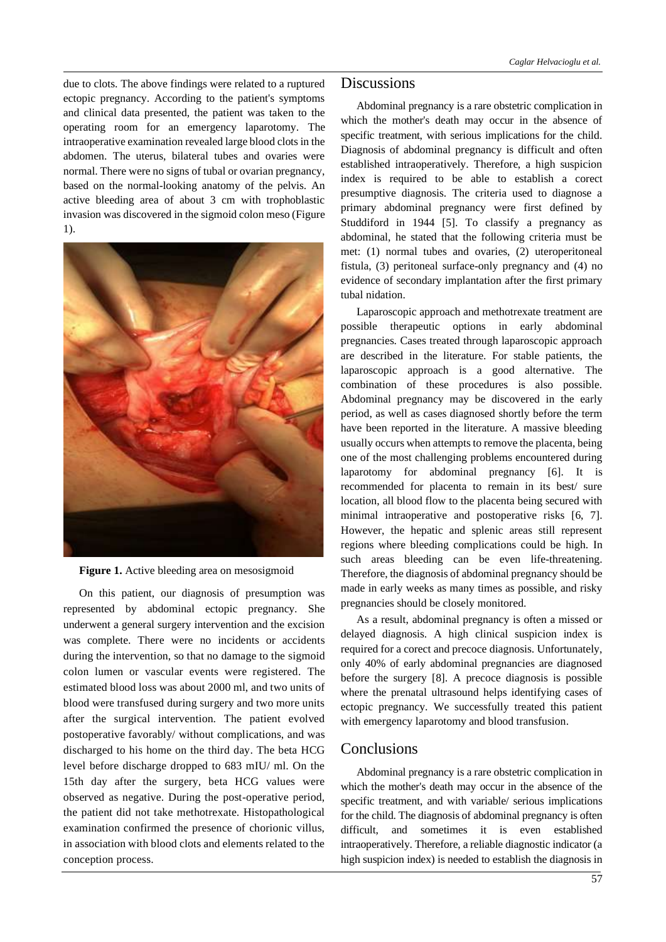due to clots. The above findings were related to a ruptured ectopic pregnancy. According to the patient's symptoms and clinical data presented, the patient was taken to the operating room for an emergency laparotomy. The intraoperative examination revealed large blood clots in the abdomen. The uterus, bilateral tubes and ovaries were normal. There were no signs of tubal or ovarian pregnancy, based on the normal-looking anatomy of the pelvis. An active bleeding area of about 3 cm with trophoblastic invasion was discovered in the sigmoid colon meso (Figure 1).



**Figure 1.** Active bleeding area on mesosigmoid

On this patient, our diagnosis of presumption was represented by abdominal ectopic pregnancy. She underwent a general surgery intervention and the excision was complete. There were no incidents or accidents during the intervention, so that no damage to the sigmoid colon lumen or vascular events were registered. The estimated blood loss was about 2000 ml, and two units of blood were transfused during surgery and two more units after the surgical intervention. The patient evolved postoperative favorably/ without complications, and was discharged to his home on the third day. The beta HCG level before discharge dropped to 683 mIU/ ml. On the 15th day after the surgery, beta HCG values were observed as negative. During the post-operative period, the patient did not take methotrexate. Histopathological examination confirmed the presence of chorionic villus, in association with blood clots and elements related to the conception process.

## **Discussions**

Abdominal pregnancy is a rare obstetric complication in which the mother's death may occur in the absence of specific treatment, with serious implications for the child. Diagnosis of abdominal pregnancy is difficult and often established intraoperatively. Therefore, a high suspicion index is required to be able to establish a corect presumptive diagnosis. The criteria used to diagnose a primary abdominal pregnancy were first defined by Studdiford in 1944 [5]. To classify a pregnancy as abdominal, he stated that the following criteria must be met: (1) normal tubes and ovaries, (2) uteroperitoneal fistula, (3) peritoneal surface-only pregnancy and (4) no evidence of secondary implantation after the first primary tubal nidation.

Laparoscopic approach and methotrexate treatment are possible therapeutic options in early abdominal pregnancies. Cases treated through laparoscopic approach are described in the literature. For stable patients, the laparoscopic approach is a good alternative. The combination of these procedures is also possible. Abdominal pregnancy may be discovered in the early period, as well as cases diagnosed shortly before the term have been reported in the literature. A massive bleeding usually occurs when attempts to remove the placenta, being one of the most challenging problems encountered during laparotomy for abdominal pregnancy [6]. It is recommended for placenta to remain in its best/ sure location, all blood flow to the placenta being secured with minimal intraoperative and postoperative risks [6, 7]. However, the hepatic and splenic areas still represent regions where bleeding complications could be high. In such areas bleeding can be even life-threatening. Therefore, the diagnosis of abdominal pregnancy should be made in early weeks as many times as possible, and risky pregnancies should be closely monitored.

As a result, abdominal pregnancy is often a missed or delayed diagnosis. A high clinical suspicion index is required for a corect and precoce diagnosis. Unfortunately, only 40% of early abdominal pregnancies are diagnosed before the surgery [8]. A precoce diagnosis is possible where the prenatal ultrasound helps identifying cases of ectopic pregnancy. We successfully treated this patient with emergency laparotomy and blood transfusion.

## Conclusions

Abdominal pregnancy is a rare obstetric complication in which the mother's death may occur in the absence of the specific treatment, and with variable/ serious implications for the child. The diagnosis of abdominal pregnancy is often difficult, and sometimes it is even established intraoperatively. Therefore, a reliable diagnostic indicator (a high suspicion index) is needed to establish the diagnosis in